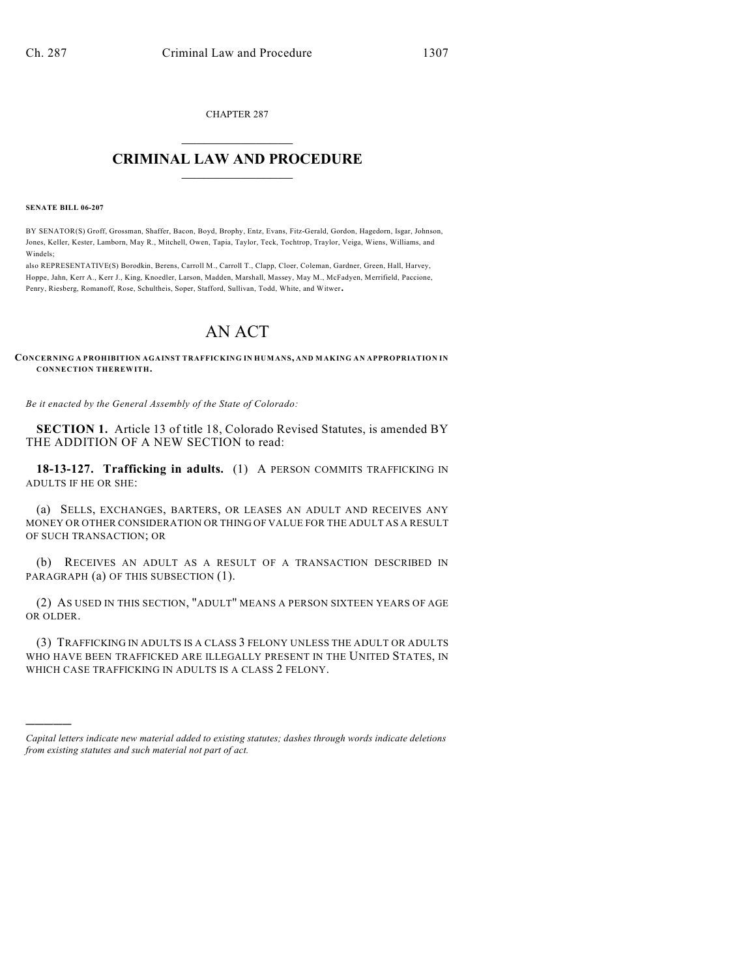CHAPTER 287  $\mathcal{L}_\text{max}$  . The set of the set of the set of the set of the set of the set of the set of the set of the set of the set of the set of the set of the set of the set of the set of the set of the set of the set of the set

## **CRIMINAL LAW AND PROCEDURE**  $\_$

**SENATE BILL 06-207**

)))))

BY SENATOR(S) Groff, Grossman, Shaffer, Bacon, Boyd, Brophy, Entz, Evans, Fitz-Gerald, Gordon, Hagedorn, Isgar, Johnson, Jones, Keller, Kester, Lamborn, May R., Mitchell, Owen, Tapia, Taylor, Teck, Tochtrop, Traylor, Veiga, Wiens, Williams, and Windels;

also REPRESENTATIVE(S) Borodkin, Berens, Carroll M., Carroll T., Clapp, Cloer, Coleman, Gardner, Green, Hall, Harvey, Hoppe, Jahn, Kerr A., Kerr J., King, Knoedler, Larson, Madden, Marshall, Massey, May M., McFadyen, Merrifield, Paccione, Penry, Riesberg, Romanoff, Rose, Schultheis, Soper, Stafford, Sullivan, Todd, White, and Witwer.

## AN ACT

**CONCERNING A PROHIBITION AGAINST TRAFFICKING IN HUMANS, AND MAKING AN APPROPRIATION IN CONNECTION THEREWITH.**

*Be it enacted by the General Assembly of the State of Colorado:*

**SECTION 1.** Article 13 of title 18, Colorado Revised Statutes, is amended BY THE ADDITION OF A NEW SECTION to read:

**18-13-127. Trafficking in adults.** (1) A PERSON COMMITS TRAFFICKING IN ADULTS IF HE OR SHE:

(a) SELLS, EXCHANGES, BARTERS, OR LEASES AN ADULT AND RECEIVES ANY MONEY OR OTHER CONSIDERATION OR THING OF VALUE FOR THE ADULT AS A RESULT OF SUCH TRANSACTION; OR

(b) RECEIVES AN ADULT AS A RESULT OF A TRANSACTION DESCRIBED IN PARAGRAPH (a) OF THIS SUBSECTION (1).

(2) AS USED IN THIS SECTION, "ADULT" MEANS A PERSON SIXTEEN YEARS OF AGE OR OLDER.

(3) TRAFFICKING IN ADULTS IS A CLASS 3 FELONY UNLESS THE ADULT OR ADULTS WHO HAVE BEEN TRAFFICKED ARE ILLEGALLY PRESENT IN THE UNITED STATES, IN WHICH CASE TRAFFICKING IN ADULTS IS A CLASS 2 FELONY.

*Capital letters indicate new material added to existing statutes; dashes through words indicate deletions from existing statutes and such material not part of act.*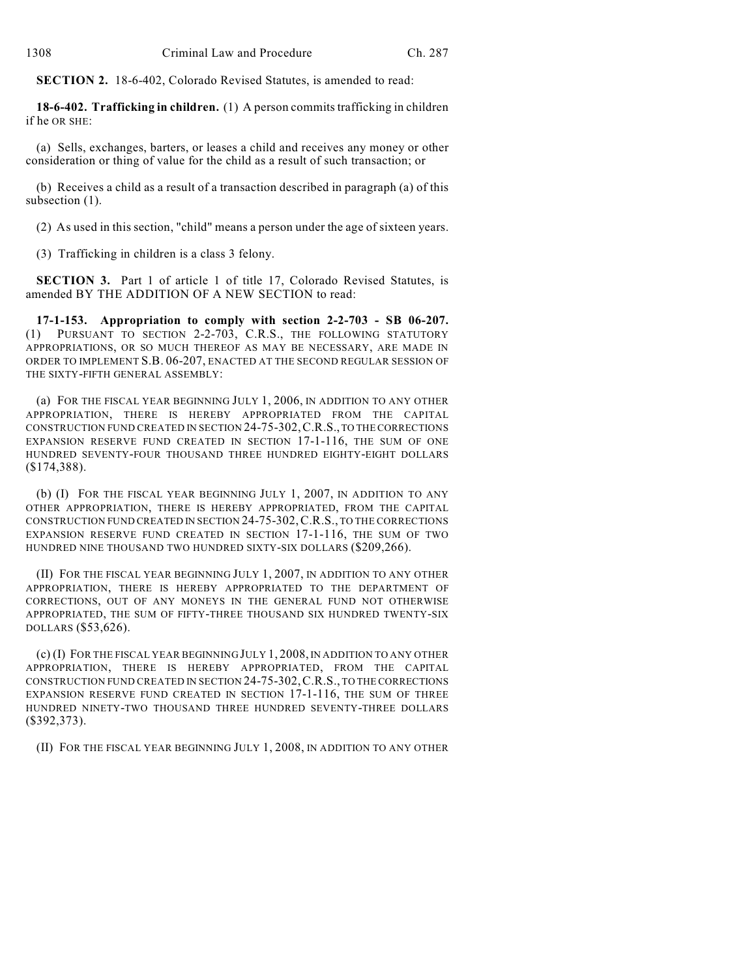**SECTION 2.** 18-6-402, Colorado Revised Statutes, is amended to read:

**18-6-402. Trafficking in children.** (1) A person commits trafficking in children if he OR SHE:

(a) Sells, exchanges, barters, or leases a child and receives any money or other consideration or thing of value for the child as a result of such transaction; or

(b) Receives a child as a result of a transaction described in paragraph (a) of this subsection (1).

(2) As used in this section, "child" means a person under the age of sixteen years.

(3) Trafficking in children is a class 3 felony.

**SECTION 3.** Part 1 of article 1 of title 17, Colorado Revised Statutes, is amended BY THE ADDITION OF A NEW SECTION to read:

**17-1-153. Appropriation to comply with section 2-2-703 - SB 06-207.** (1) PURSUANT TO SECTION 2-2-703, C.R.S., THE FOLLOWING STATUTORY APPROPRIATIONS, OR SO MUCH THEREOF AS MAY BE NECESSARY, ARE MADE IN ORDER TO IMPLEMENT S.B. 06-207, ENACTED AT THE SECOND REGULAR SESSION OF THE SIXTY-FIFTH GENERAL ASSEMBLY:

(a) FOR THE FISCAL YEAR BEGINNING JULY 1, 2006, IN ADDITION TO ANY OTHER APPROPRIATION, THERE IS HEREBY APPROPRIATED FROM THE CAPITAL CONSTRUCTION FUND CREATED IN SECTION 24-75-302,C.R.S., TO THE CORRECTIONS EXPANSION RESERVE FUND CREATED IN SECTION 17-1-116, THE SUM OF ONE HUNDRED SEVENTY-FOUR THOUSAND THREE HUNDRED EIGHTY-EIGHT DOLLARS (\$174,388).

(b) (I) FOR THE FISCAL YEAR BEGINNING JULY 1, 2007, IN ADDITION TO ANY OTHER APPROPRIATION, THERE IS HEREBY APPROPRIATED, FROM THE CAPITAL CONSTRUCTION FUND CREATED IN SECTION 24-75-302,C.R.S., TO THE CORRECTIONS EXPANSION RESERVE FUND CREATED IN SECTION 17-1-116, THE SUM OF TWO HUNDRED NINE THOUSAND TWO HUNDRED SIXTY-SIX DOLLARS (\$209,266).

(II) FOR THE FISCAL YEAR BEGINNING JULY 1, 2007, IN ADDITION TO ANY OTHER APPROPRIATION, THERE IS HEREBY APPROPRIATED TO THE DEPARTMENT OF CORRECTIONS, OUT OF ANY MONEYS IN THE GENERAL FUND NOT OTHERWISE APPROPRIATED, THE SUM OF FIFTY-THREE THOUSAND SIX HUNDRED TWENTY-SIX DOLLARS (\$53,626).

(c) (I) FOR THE FISCAL YEAR BEGINNING JULY 1, 2008, IN ADDITION TO ANY OTHER APPROPRIATION, THERE IS HEREBY APPROPRIATED, FROM THE CAPITAL CONSTRUCTION FUND CREATED IN SECTION 24-75-302,C.R.S., TO THE CORRECTIONS EXPANSION RESERVE FUND CREATED IN SECTION 17-1-116, THE SUM OF THREE HUNDRED NINETY-TWO THOUSAND THREE HUNDRED SEVENTY-THREE DOLLARS (\$392,373).

(II) FOR THE FISCAL YEAR BEGINNING JULY 1, 2008, IN ADDITION TO ANY OTHER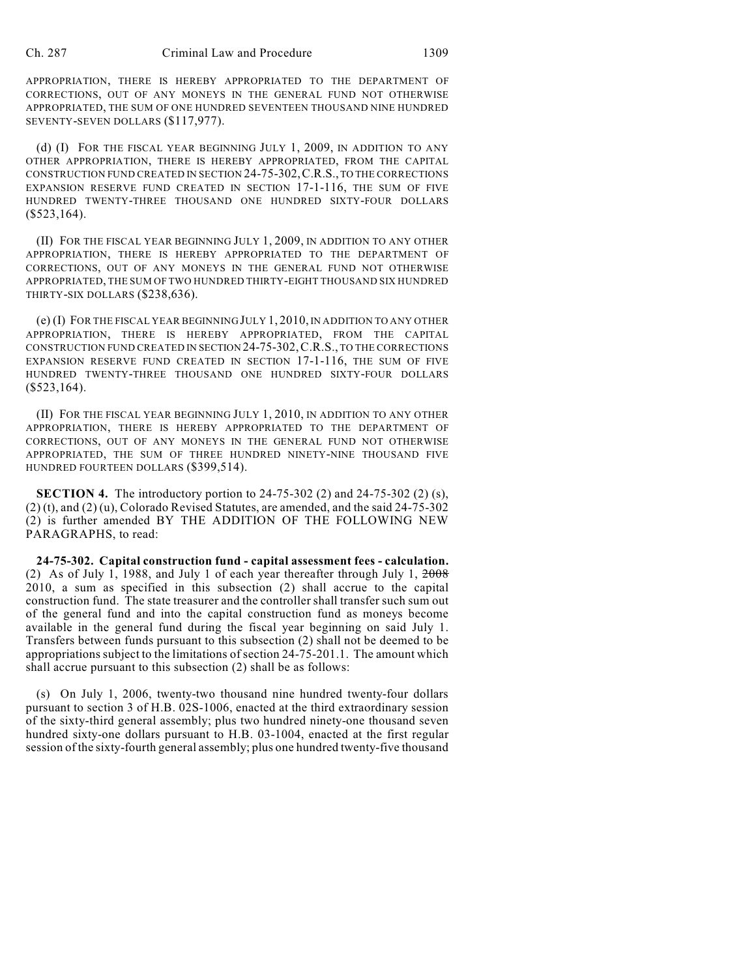APPROPRIATION, THERE IS HEREBY APPROPRIATED TO THE DEPARTMENT OF CORRECTIONS, OUT OF ANY MONEYS IN THE GENERAL FUND NOT OTHERWISE APPROPRIATED, THE SUM OF ONE HUNDRED SEVENTEEN THOUSAND NINE HUNDRED SEVENTY-SEVEN DOLLARS (\$117,977).

(d) (I) FOR THE FISCAL YEAR BEGINNING JULY 1, 2009, IN ADDITION TO ANY OTHER APPROPRIATION, THERE IS HEREBY APPROPRIATED, FROM THE CAPITAL CONSTRUCTION FUND CREATED IN SECTION 24-75-302,C.R.S., TO THE CORRECTIONS EXPANSION RESERVE FUND CREATED IN SECTION 17-1-116, THE SUM OF FIVE HUNDRED TWENTY-THREE THOUSAND ONE HUNDRED SIXTY-FOUR DOLLARS (\$523,164).

(II) FOR THE FISCAL YEAR BEGINNING JULY 1, 2009, IN ADDITION TO ANY OTHER APPROPRIATION, THERE IS HEREBY APPROPRIATED TO THE DEPARTMENT OF CORRECTIONS, OUT OF ANY MONEYS IN THE GENERAL FUND NOT OTHERWISE APPROPRIATED, THE SUM OF TWO HUNDRED THIRTY-EIGHT THOUSAND SIX HUNDRED THIRTY-SIX DOLLARS (\$238,636).

(e) (I) FOR THE FISCAL YEAR BEGINNING JULY 1, 2010, IN ADDITION TO ANY OTHER APPROPRIATION, THERE IS HEREBY APPROPRIATED, FROM THE CAPITAL CONSTRUCTION FUND CREATED IN SECTION 24-75-302,C.R.S., TO THE CORRECTIONS EXPANSION RESERVE FUND CREATED IN SECTION 17-1-116, THE SUM OF FIVE HUNDRED TWENTY-THREE THOUSAND ONE HUNDRED SIXTY-FOUR DOLLARS  $($523,164).$ 

(II) FOR THE FISCAL YEAR BEGINNING JULY 1, 2010, IN ADDITION TO ANY OTHER APPROPRIATION, THERE IS HEREBY APPROPRIATED TO THE DEPARTMENT OF CORRECTIONS, OUT OF ANY MONEYS IN THE GENERAL FUND NOT OTHERWISE APPROPRIATED, THE SUM OF THREE HUNDRED NINETY-NINE THOUSAND FIVE HUNDRED FOURTEEN DOLLARS (\$399,514).

**SECTION 4.** The introductory portion to 24-75-302 (2) and 24-75-302 (2) (s), (2) (t), and (2) (u), Colorado Revised Statutes, are amended, and the said 24-75-302 (2) is further amended BY THE ADDITION OF THE FOLLOWING NEW PARAGRAPHS, to read:

**24-75-302. Capital construction fund - capital assessment fees - calculation.** (2) As of July 1, 1988, and July 1 of each year thereafter through July 1, 2008 2010, a sum as specified in this subsection (2) shall accrue to the capital construction fund. The state treasurer and the controller shall transfer such sum out of the general fund and into the capital construction fund as moneys become available in the general fund during the fiscal year beginning on said July 1. Transfers between funds pursuant to this subsection (2) shall not be deemed to be appropriations subject to the limitations of section 24-75-201.1. The amount which shall accrue pursuant to this subsection (2) shall be as follows:

(s) On July 1, 2006, twenty-two thousand nine hundred twenty-four dollars pursuant to section 3 of H.B. 02S-1006, enacted at the third extraordinary session of the sixty-third general assembly; plus two hundred ninety-one thousand seven hundred sixty-one dollars pursuant to H.B. 03-1004, enacted at the first regular session of the sixty-fourth general assembly; plus one hundred twenty-five thousand